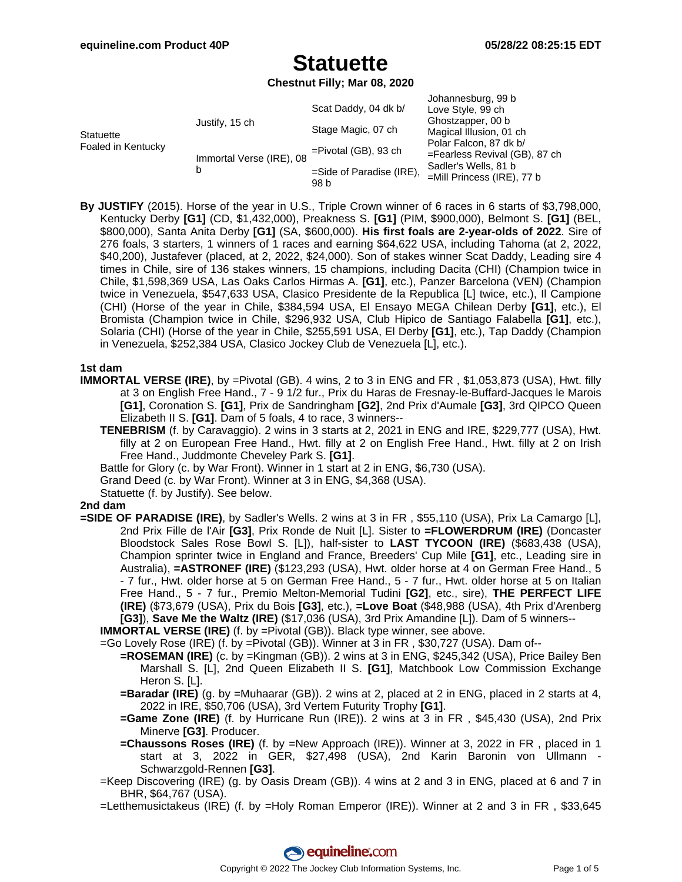**Chestnut Filly; Mar 08, 2020**

| <b>Statuette</b><br>Foaled in Kentucky | Justify, 15 ch                | Scat Daddy, 04 dk b/             | Johannesburg, 99 b<br>Love Style, 99 ch<br>Ghostzapper, 00 b<br>Magical Illusion, 01 ch<br>Polar Falcon, 87 dk b/<br>$=$ Fearless Revival (GB), 87 ch<br>Sadler's Wells, 81 b<br>$=$ Mill Princess (IRE), 77 b |
|----------------------------------------|-------------------------------|----------------------------------|----------------------------------------------------------------------------------------------------------------------------------------------------------------------------------------------------------------|
|                                        |                               | Stage Magic, 07 ch               |                                                                                                                                                                                                                |
|                                        | Immortal Verse (IRE), 08<br>b | $=$ Pivotal (GB), 93 ch          |                                                                                                                                                                                                                |
|                                        |                               | =Side of Paradise (IRE),<br>98 b |                                                                                                                                                                                                                |

**By JUSTIFY** (2015). Horse of the year in U.S., Triple Crown winner of 6 races in 6 starts of \$3,798,000, Kentucky Derby **[G1]** (CD, \$1,432,000), Preakness S. **[G1]** (PIM, \$900,000), Belmont S. **[G1]** (BEL, \$800,000), Santa Anita Derby **[G1]** (SA, \$600,000). **His first foals are 2-year-olds of 2022**. Sire of 276 foals, 3 starters, 1 winners of 1 races and earning \$64,622 USA, including Tahoma (at 2, 2022, \$40,200), Justafever (placed, at 2, 2022, \$24,000). Son of stakes winner Scat Daddy, Leading sire 4 times in Chile, sire of 136 stakes winners, 15 champions, including Dacita (CHI) (Champion twice in Chile, \$1,598,369 USA, Las Oaks Carlos Hirmas A. **[G1]**, etc.), Panzer Barcelona (VEN) (Champion twice in Venezuela, \$547,633 USA, Clasico Presidente de la Republica [L] twice, etc.), Il Campione (CHI) (Horse of the year in Chile, \$384,594 USA, El Ensayo MEGA Chilean Derby **[G1]**, etc.), El Bromista (Champion twice in Chile, \$296,932 USA, Club Hipico de Santiago Falabella **[G1]**, etc.), Solaria (CHI) (Horse of the year in Chile, \$255,591 USA, El Derby **[G1]**, etc.), Tap Daddy (Champion in Venezuela, \$252,384 USA, Clasico Jockey Club de Venezuela [L], etc.).

#### **1st dam**

- **IMMORTAL VERSE (IRE)**, by =Pivotal (GB). 4 wins, 2 to 3 in ENG and FR, \$1,053,873 (USA), Hwt. filly at 3 on English Free Hand., 7 - 9 1/2 fur., Prix du Haras de Fresnay-le-Buffard-Jacques le Marois **[G1]**, Coronation S. **[G1]**, Prix de Sandringham **[G2]**, 2nd Prix d'Aumale **[G3]**, 3rd QIPCO Queen Elizabeth II S. **[G1]**. Dam of 5 foals, 4 to race, 3 winners--
	- **TENEBRISM** (f. by Caravaggio). 2 wins in 3 starts at 2, 2021 in ENG and IRE, \$229,777 (USA), Hwt. filly at 2 on European Free Hand., Hwt. filly at 2 on English Free Hand., Hwt. filly at 2 on Irish Free Hand., Juddmonte Cheveley Park S. **[G1]**.
	- Battle for Glory (c. by War Front). Winner in 1 start at 2 in ENG, \$6,730 (USA).
	- Grand Deed (c. by War Front). Winner at 3 in ENG, \$4,368 (USA).
	- Statuette (f. by Justify). See below.

#### **2nd dam**

**=SIDE OF PARADISE (IRE)**, by Sadler's Wells. 2 wins at 3 in FR , \$55,110 (USA), Prix La Camargo [L], 2nd Prix Fille de l'Air **[G3]**, Prix Ronde de Nuit [L]. Sister to **=FLOWERDRUM (IRE)** (Doncaster Bloodstock Sales Rose Bowl S. [L]), half-sister to **LAST TYCOON (IRE)** (\$683,438 (USA), Champion sprinter twice in England and France, Breeders' Cup Mile **[G1]**, etc., Leading sire in Australia), **=ASTRONEF (IRE)** (\$123,293 (USA), Hwt. older horse at 4 on German Free Hand., 5 - 7 fur., Hwt. older horse at 5 on German Free Hand., 5 - 7 fur., Hwt. older horse at 5 on Italian Free Hand., 5 - 7 fur., Premio Melton-Memorial Tudini **[G2]**, etc., sire), **THE PERFECT LIFE (IRE)** (\$73,679 (USA), Prix du Bois **[G3]**, etc.), **=Love Boat** (\$48,988 (USA), 4th Prix d'Arenberg **[G3]**), **Save Me the Waltz (IRE)** (\$17,036 (USA), 3rd Prix Amandine [L]). Dam of 5 winners--

**IMMORTAL VERSE (IRE)** (f. by =Pivotal (GB)). Black type winner, see above.

- =Go Lovely Rose (IRE) (f. by =Pivotal (GB)). Winner at 3 in FR , \$30,727 (USA). Dam of--
	- **=ROSEMAN (IRE)** (c. by =Kingman (GB)). 2 wins at 3 in ENG, \$245,342 (USA), Price Bailey Ben Marshall S. [L], 2nd Queen Elizabeth II S. **[G1]**, Matchbook Low Commission Exchange Heron S. [L].
	- **=Baradar (IRE)** (g. by =Muhaarar (GB)). 2 wins at 2, placed at 2 in ENG, placed in 2 starts at 4, 2022 in IRE, \$50,706 (USA), 3rd Vertem Futurity Trophy **[G1]**.
	- **=Game Zone (IRE)** (f. by Hurricane Run (IRE)). 2 wins at 3 in FR , \$45,430 (USA), 2nd Prix Minerve **[G3]**. Producer.
	- **=Chaussons Roses (IRE)** (f. by =New Approach (IRE)). Winner at 3, 2022 in FR , placed in 1 start at 3, 2022 in GER, \$27,498 (USA), 2nd Karin Baronin von Ullmann - Schwarzgold-Rennen **[G3]**.
- =Keep Discovering (IRE) (g. by Oasis Dream (GB)). 4 wins at 2 and 3 in ENG, placed at 6 and 7 in BHR, \$64,767 (USA).
- =Letthemusictakeus (IRE) (f. by =Holy Roman Emperor (IRE)). Winner at 2 and 3 in FR , \$33,645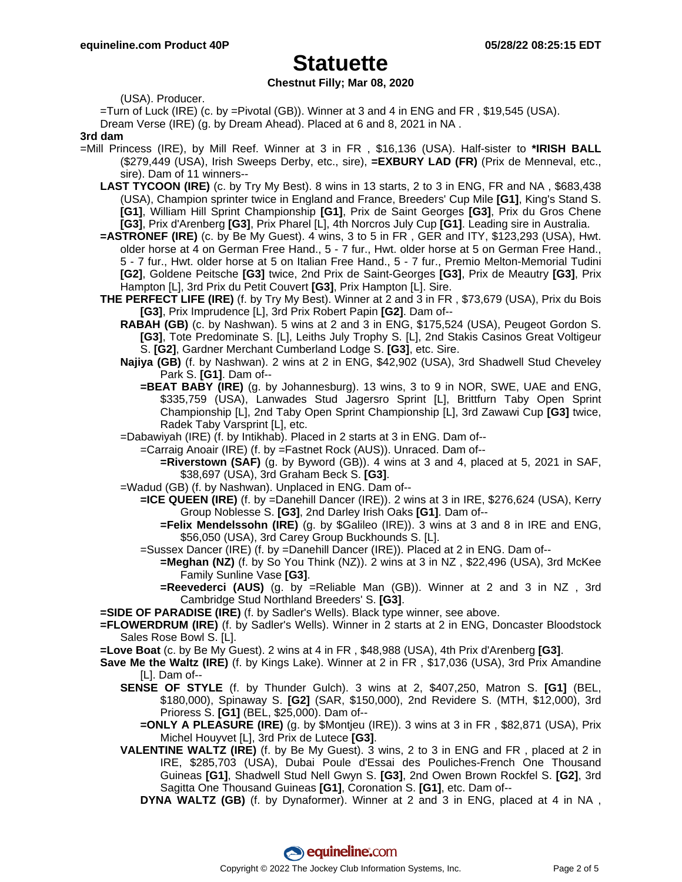### **Chestnut Filly; Mar 08, 2020**

(USA). Producer.

=Turn of Luck (IRE) (c. by =Pivotal (GB)). Winner at 3 and 4 in ENG and FR , \$19,545 (USA).

Dream Verse (IRE) (g. by Dream Ahead). Placed at 6 and 8, 2021 in NA .

#### **3rd dam**

- =Mill Princess (IRE), by Mill Reef. Winner at 3 in FR , \$16,136 (USA). Half-sister to **\*IRISH BALL** (\$279,449 (USA), Irish Sweeps Derby, etc., sire), **=EXBURY LAD (FR)** (Prix de Menneval, etc., sire). Dam of 11 winners--
	- **LAST TYCOON (IRE)** (c. by Try My Best). 8 wins in 13 starts, 2 to 3 in ENG, FR and NA , \$683,438 (USA), Champion sprinter twice in England and France, Breeders' Cup Mile **[G1]**, King's Stand S. **[G1]**, William Hill Sprint Championship **[G1]**, Prix de Saint Georges **[G3]**, Prix du Gros Chene **[G3]**, Prix d'Arenberg **[G3]**, Prix Pharel [L], 4th Norcros July Cup **[G1]**. Leading sire in Australia.
	- **=ASTRONEF (IRE)** (c. by Be My Guest). 4 wins, 3 to 5 in FR , GER and ITY, \$123,293 (USA), Hwt. older horse at 4 on German Free Hand., 5 - 7 fur., Hwt. older horse at 5 on German Free Hand., 5 - 7 fur., Hwt. older horse at 5 on Italian Free Hand., 5 - 7 fur., Premio Melton-Memorial Tudini **[G2]**, Goldene Peitsche **[G3]** twice, 2nd Prix de Saint-Georges **[G3]**, Prix de Meautry **[G3]**, Prix Hampton [L], 3rd Prix du Petit Couvert **[G3]**, Prix Hampton [L]. Sire.
	- **THE PERFECT LIFE (IRE)** (f. by Try My Best). Winner at 2 and 3 in FR , \$73,679 (USA), Prix du Bois **[G3]**, Prix Imprudence [L], 3rd Prix Robert Papin **[G2]**. Dam of--
		- **RABAH (GB)** (c. by Nashwan). 5 wins at 2 and 3 in ENG, \$175,524 (USA), Peugeot Gordon S. **[G3]**, Tote Predominate S. [L], Leiths July Trophy S. [L], 2nd Stakis Casinos Great Voltigeur S. **[G2]**, Gardner Merchant Cumberland Lodge S. **[G3]**, etc. Sire.
		- **Najiya (GB)** (f. by Nashwan). 2 wins at 2 in ENG, \$42,902 (USA), 3rd Shadwell Stud Cheveley Park S. **[G1]**. Dam of--
			- **=BEAT BABY (IRE)** (g. by Johannesburg). 13 wins, 3 to 9 in NOR, SWE, UAE and ENG, \$335,759 (USA), Lanwades Stud Jagersro Sprint [L], Brittfurn Taby Open Sprint Championship [L], 2nd Taby Open Sprint Championship [L], 3rd Zawawi Cup **[G3]** twice, Radek Taby Varsprint [L], etc.
		- =Dabawiyah (IRE) (f. by Intikhab). Placed in 2 starts at 3 in ENG. Dam of--
			- =Carraig Anoair (IRE) (f. by =Fastnet Rock (AUS)). Unraced. Dam of--
				- **=Riverstown (SAF)** (g. by Byword (GB)). 4 wins at 3 and 4, placed at 5, 2021 in SAF, \$38,697 (USA), 3rd Graham Beck S. **[G3]**.
		- =Wadud (GB) (f. by Nashwan). Unplaced in ENG. Dam of--
			- **=ICE QUEEN (IRE)** (f. by =Danehill Dancer (IRE)). 2 wins at 3 in IRE, \$276,624 (USA), Kerry Group Noblesse S. **[G3]**, 2nd Darley Irish Oaks **[G1]**. Dam of--
				- **=Felix Mendelssohn (IRE)** (g. by \$Galileo (IRE)). 3 wins at 3 and 8 in IRE and ENG, \$56,050 (USA), 3rd Carey Group Buckhounds S. [L].
			- =Sussex Dancer (IRE) (f. by =Danehill Dancer (IRE)). Placed at 2 in ENG. Dam of--
				- **=Meghan (NZ)** (f. by So You Think (NZ)). 2 wins at 3 in NZ , \$22,496 (USA), 3rd McKee Family Sunline Vase **[G3]**.
					- **=Reevederci (AUS)** (g. by =Reliable Man (GB)). Winner at 2 and 3 in NZ , 3rd Cambridge Stud Northland Breeders' S. **[G3]**.

**=SIDE OF PARADISE (IRE)** (f. by Sadler's Wells). Black type winner, see above.

- **=FLOWERDRUM (IRE)** (f. by Sadler's Wells). Winner in 2 starts at 2 in ENG, Doncaster Bloodstock Sales Rose Bowl S. [L].
- **=Love Boat** (c. by Be My Guest). 2 wins at 4 in FR , \$48,988 (USA), 4th Prix d'Arenberg **[G3]**.
- **Save Me the Waltz (IRE)** (f. by Kings Lake). Winner at 2 in FR , \$17,036 (USA), 3rd Prix Amandine [L]. Dam of--
	- **SENSE OF STYLE** (f. by Thunder Gulch). 3 wins at 2, \$407,250, Matron S. **[G1]** (BEL, \$180,000), Spinaway S. **[G2]** (SAR, \$150,000), 2nd Revidere S. (MTH, \$12,000), 3rd Prioress S. **[G1]** (BEL, \$25,000). Dam of--
		- **=ONLY A PLEASURE (IRE)** (g. by \$Montjeu (IRE)). 3 wins at 3 in FR , \$82,871 (USA), Prix Michel Houyvet [L], 3rd Prix de Lutece **[G3]**.
	- **VALENTINE WALTZ (IRE)** (f. by Be My Guest). 3 wins, 2 to 3 in ENG and FR , placed at 2 in IRE, \$285,703 (USA), Dubai Poule d'Essai des Pouliches-French One Thousand Guineas **[G1]**, Shadwell Stud Nell Gwyn S. **[G3]**, 2nd Owen Brown Rockfel S. **[G2]**, 3rd Sagitta One Thousand Guineas **[G1]**, Coronation S. **[G1]**, etc. Dam of--
		- **DYNA WALTZ (GB)** (f. by Dynaformer). Winner at 2 and 3 in ENG, placed at 4 in NA ,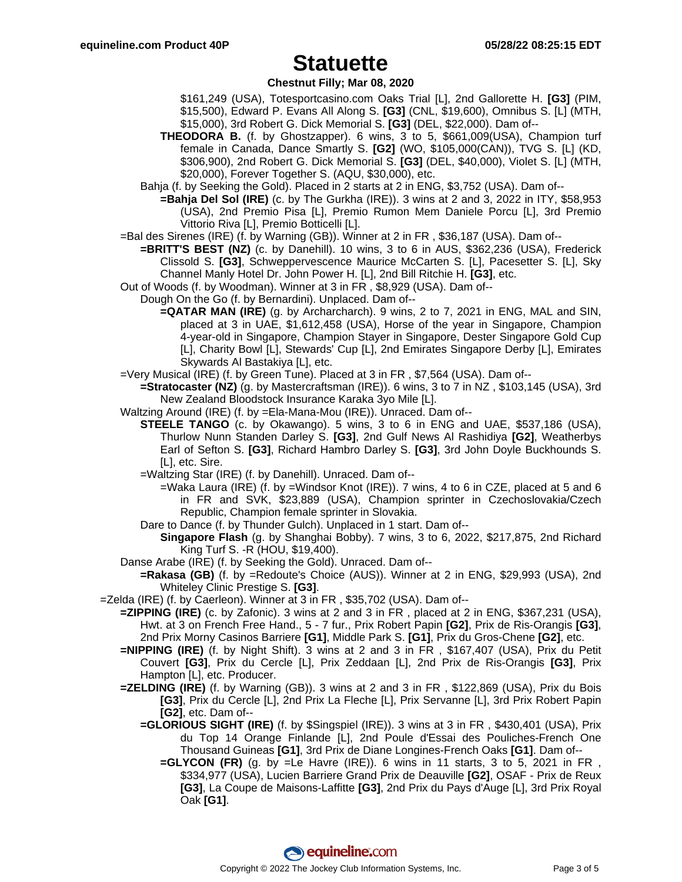### **Chestnut Filly; Mar 08, 2020**

- \$161,249 (USA), Totesportcasino.com Oaks Trial [L], 2nd Gallorette H. **[G3]** (PIM, \$15,500), Edward P. Evans All Along S. **[G3]** (CNL, \$19,600), Omnibus S. [L] (MTH, \$15,000), 3rd Robert G. Dick Memorial S. **[G3]** (DEL, \$22,000). Dam of--
- **THEODORA B.** (f. by Ghostzapper). 6 wins, 3 to 5, \$661,009(USA), Champion turf female in Canada, Dance Smartly S. **[G2]** (WO, \$105,000(CAN)), TVG S. [L] (KD, \$306,900), 2nd Robert G. Dick Memorial S. **[G3]** (DEL, \$40,000), Violet S. [L] (MTH, \$20,000), Forever Together S. (AQU, \$30,000), etc.
- Bahja (f. by Seeking the Gold). Placed in 2 starts at 2 in ENG, \$3,752 (USA). Dam of--
	- **=Bahja Del Sol (IRE)** (c. by The Gurkha (IRE)). 3 wins at 2 and 3, 2022 in ITY, \$58,953 (USA), 2nd Premio Pisa [L], Premio Rumon Mem Daniele Porcu [L], 3rd Premio Vittorio Riva [L], Premio Botticelli [L].
- =Bal des Sirenes (IRE) (f. by Warning (GB)). Winner at 2 in FR , \$36,187 (USA). Dam of--
	- **=BRITT'S BEST (NZ)** (c. by Danehill). 10 wins, 3 to 6 in AUS, \$362,236 (USA), Frederick Clissold S. **[G3]**, Schweppervescence Maurice McCarten S. [L], Pacesetter S. [L], Sky Channel Manly Hotel Dr. John Power H. [L], 2nd Bill Ritchie H. **[G3]**, etc.
- Out of Woods (f. by Woodman). Winner at 3 in FR , \$8,929 (USA). Dam of--
	- Dough On the Go (f. by Bernardini). Unplaced. Dam of--
		- **=QATAR MAN (IRE)** (g. by Archarcharch). 9 wins, 2 to 7, 2021 in ENG, MAL and SIN, placed at 3 in UAE, \$1,612,458 (USA), Horse of the year in Singapore, Champion 4-year-old in Singapore, Champion Stayer in Singapore, Dester Singapore Gold Cup [L], Charity Bowl [L], Stewards' Cup [L], 2nd Emirates Singapore Derby [L], Emirates Skywards Al Bastakiya [L], etc.
- =Very Musical (IRE) (f. by Green Tune). Placed at 3 in FR , \$7,564 (USA). Dam of--
	- **=Stratocaster (NZ)** (g. by Mastercraftsman (IRE)). 6 wins, 3 to 7 in NZ , \$103,145 (USA), 3rd New Zealand Bloodstock Insurance Karaka 3yo Mile [L].
- Waltzing Around (IRE) (f. by =Ela-Mana-Mou (IRE)). Unraced. Dam of--
	- **STEELE TANGO** (c. by Okawango). 5 wins, 3 to 6 in ENG and UAE, \$537,186 (USA), Thurlow Nunn Standen Darley S. **[G3]**, 2nd Gulf News Al Rashidiya **[G2]**, Weatherbys Earl of Sefton S. **[G3]**, Richard Hambro Darley S. **[G3]**, 3rd John Doyle Buckhounds S. [L], etc. Sire.
	- =Waltzing Star (IRE) (f. by Danehill). Unraced. Dam of--
		- $=$ Waka Laura (IRE) (f. by  $=$ Windsor Knot (IRE)). 7 wins, 4 to 6 in CZE, placed at 5 and 6 in FR and SVK, \$23,889 (USA), Champion sprinter in Czechoslovakia/Czech Republic, Champion female sprinter in Slovakia.
	- Dare to Dance (f. by Thunder Gulch). Unplaced in 1 start. Dam of--
		- **Singapore Flash** (g. by Shanghai Bobby). 7 wins, 3 to 6, 2022, \$217,875, 2nd Richard King Turf S. -R (HOU, \$19,400).
- Danse Arabe (IRE) (f. by Seeking the Gold). Unraced. Dam of--
	- **=Rakasa (GB)** (f. by =Redoute's Choice (AUS)). Winner at 2 in ENG, \$29,993 (USA), 2nd Whiteley Clinic Prestige S. **[G3]**.
- =Zelda (IRE) (f. by Caerleon). Winner at 3 in FR , \$35,702 (USA). Dam of--
	- **=ZIPPING (IRE)** (c. by Zafonic). 3 wins at 2 and 3 in FR , placed at 2 in ENG, \$367,231 (USA), Hwt. at 3 on French Free Hand., 5 - 7 fur., Prix Robert Papin **[G2]**, Prix de Ris-Orangis **[G3]**, 2nd Prix Morny Casinos Barriere **[G1]**, Middle Park S. **[G1]**, Prix du Gros-Chene **[G2]**, etc.
	- **=NIPPING (IRE)** (f. by Night Shift). 3 wins at 2 and 3 in FR , \$167,407 (USA), Prix du Petit Couvert **[G3]**, Prix du Cercle [L], Prix Zeddaan [L], 2nd Prix de Ris-Orangis **[G3]**, Prix Hampton [L], etc. Producer.
	- **=ZELDING (IRE)** (f. by Warning (GB)). 3 wins at 2 and 3 in FR , \$122,869 (USA), Prix du Bois **[G3]**, Prix du Cercle [L], 2nd Prix La Fleche [L], Prix Servanne [L], 3rd Prix Robert Papin **[G2]**, etc. Dam of--
		- **=GLORIOUS SIGHT (IRE)** (f. by \$Singspiel (IRE)). 3 wins at 3 in FR , \$430,401 (USA), Prix du Top 14 Orange Finlande [L], 2nd Poule d'Essai des Pouliches-French One Thousand Guineas **[G1]**, 3rd Prix de Diane Longines-French Oaks **[G1]**. Dam of--
			- **=GLYCON (FR)** (g. by =Le Havre (IRE)). 6 wins in 11 starts, 3 to 5, 2021 in FR , \$334,977 (USA), Lucien Barriere Grand Prix de Deauville **[G2]**, OSAF - Prix de Reux **[G3]**, La Coupe de Maisons-Laffitte **[G3]**, 2nd Prix du Pays d'Auge [L], 3rd Prix Royal Oak **[G1]**.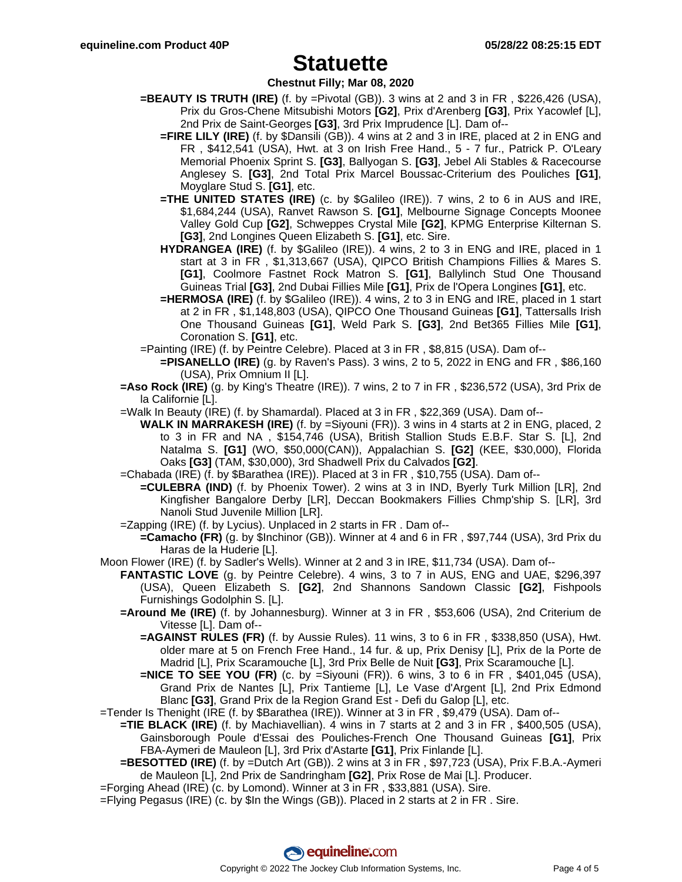### **Chestnut Filly; Mar 08, 2020**

- **=BEAUTY IS TRUTH (IRE)** (f. by =Pivotal (GB)). 3 wins at 2 and 3 in FR, \$226,426 (USA), Prix du Gros-Chene Mitsubishi Motors **[G2]**, Prix d'Arenberg **[G3]**, Prix Yacowlef [L], 2nd Prix de Saint-Georges **[G3]**, 3rd Prix Imprudence [L]. Dam of--
	- **=FIRE LILY (IRE)** (f. by \$Dansili (GB)). 4 wins at 2 and 3 in IRE, placed at 2 in ENG and FR , \$412,541 (USA), Hwt. at 3 on Irish Free Hand., 5 - 7 fur., Patrick P. O'Leary Memorial Phoenix Sprint S. **[G3]**, Ballyogan S. **[G3]**, Jebel Ali Stables & Racecourse Anglesey S. **[G3]**, 2nd Total Prix Marcel Boussac-Criterium des Pouliches **[G1]**, Moyglare Stud S. **[G1]**, etc.
	- **=THE UNITED STATES (IRE)** (c. by \$Galileo (IRE)). 7 wins, 2 to 6 in AUS and IRE, \$1,684,244 (USA), Ranvet Rawson S. **[G1]**, Melbourne Signage Concepts Moonee Valley Gold Cup **[G2]**, Schweppes Crystal Mile **[G2]**, KPMG Enterprise Kilternan S. **[G3]**, 2nd Longines Queen Elizabeth S. **[G1]**, etc. Sire.
	- **HYDRANGEA (IRE)** (f. by \$Galileo (IRE)). 4 wins, 2 to 3 in ENG and IRE, placed in 1 start at 3 in FR , \$1,313,667 (USA), QIPCO British Champions Fillies & Mares S. **[G1]**, Coolmore Fastnet Rock Matron S. **[G1]**, Ballylinch Stud One Thousand Guineas Trial **[G3]**, 2nd Dubai Fillies Mile **[G1]**, Prix de l'Opera Longines **[G1]**, etc.
	- **=HERMOSA (IRE)** (f. by \$Galileo (IRE)). 4 wins, 2 to 3 in ENG and IRE, placed in 1 start at 2 in FR , \$1,148,803 (USA), QIPCO One Thousand Guineas **[G1]**, Tattersalls Irish One Thousand Guineas **[G1]**, Weld Park S. **[G3]**, 2nd Bet365 Fillies Mile **[G1]**, Coronation S. **[G1]**, etc.
- =Painting (IRE) (f. by Peintre Celebre). Placed at 3 in FR , \$8,815 (USA). Dam of--
	- **=PISANELLO (IRE)** (g. by Raven's Pass). 3 wins, 2 to 5, 2022 in ENG and FR , \$86,160 (USA), Prix Omnium II [L].
- **=Aso Rock (IRE)** (g. by King's Theatre (IRE)). 7 wins, 2 to 7 in FR , \$236,572 (USA), 3rd Prix de la Californie [L].
- =Walk In Beauty (IRE) (f. by Shamardal). Placed at 3 in FR , \$22,369 (USA). Dam of--
	- **WALK IN MARRAKESH (IRE)** (f. by =Siyouni (FR)). 3 wins in 4 starts at 2 in ENG, placed, 2 to 3 in FR and NA , \$154,746 (USA), British Stallion Studs E.B.F. Star S. [L], 2nd Natalma S. **[G1]** (WO, \$50,000(CAN)), Appalachian S. **[G2]** (KEE, \$30,000), Florida Oaks **[G3]** (TAM, \$30,000), 3rd Shadwell Prix du Calvados **[G2]**.
- =Chabada (IRE) (f. by \$Barathea (IRE)). Placed at 3 in FR , \$10,755 (USA). Dam of--
	- **=CULEBRA (IND)** (f. by Phoenix Tower). 2 wins at 3 in IND, Byerly Turk Million [LR], 2nd Kingfisher Bangalore Derby [LR], Deccan Bookmakers Fillies Chmp'ship S. [LR], 3rd Nanoli Stud Juvenile Million [LR].
- =Zapping (IRE) (f. by Lycius). Unplaced in 2 starts in FR . Dam of--
	- **=Camacho (FR)** (g. by \$Inchinor (GB)). Winner at 4 and 6 in FR , \$97,744 (USA), 3rd Prix du Haras de la Huderie [L].
- Moon Flower (IRE) (f. by Sadler's Wells). Winner at 2 and 3 in IRE, \$11,734 (USA). Dam of--
	- **FANTASTIC LOVE** (g. by Peintre Celebre). 4 wins, 3 to 7 in AUS, ENG and UAE, \$296,397 (USA), Queen Elizabeth S. **[G2]**, 2nd Shannons Sandown Classic **[G2]**, Fishpools Furnishings Godolphin S. [L].
	- **=Around Me (IRE)** (f. by Johannesburg). Winner at 3 in FR , \$53,606 (USA), 2nd Criterium de Vitesse [L]. Dam of--
		- **=AGAINST RULES (FR)** (f. by Aussie Rules). 11 wins, 3 to 6 in FR , \$338,850 (USA), Hwt. older mare at 5 on French Free Hand., 14 fur. & up, Prix Denisy [L], Prix de la Porte de Madrid [L], Prix Scaramouche [L], 3rd Prix Belle de Nuit **[G3]**, Prix Scaramouche [L].
		- **=NICE TO SEE YOU (FR)** (c. by =Siyouni (FR)). 6 wins, 3 to 6 in FR , \$401,045 (USA), Grand Prix de Nantes [L], Prix Tantieme [L], Le Vase d'Argent [L], 2nd Prix Edmond Blanc **[G3]**, Grand Prix de la Region Grand Est - Defi du Galop [L], etc.
- =Tender Is Thenight (IRE (f. by \$Barathea (IRE)). Winner at 3 in FR , \$9,479 (USA). Dam of--
	- **=TIE BLACK (IRE)** (f. by Machiavellian). 4 wins in 7 starts at 2 and 3 in FR , \$400,505 (USA), Gainsborough Poule d'Essai des Pouliches-French One Thousand Guineas **[G1]**, Prix
	- FBA-Aymeri de Mauleon [L], 3rd Prix d'Astarte **[G1]**, Prix Finlande [L]. **=BESOTTED (IRE)** (f. by =Dutch Art (GB)). 2 wins at 3 in FR , \$97,723 (USA), Prix F.B.A.-Aymeri
- de Mauleon [L], 2nd Prix de Sandringham **[G2]**, Prix Rose de Mai [L]. Producer.
- =Forging Ahead (IRE) (c. by Lomond). Winner at 3 in FR , \$33,881 (USA). Sire.
- =Flying Pegasus (IRE) (c. by \$In the Wings (GB)). Placed in 2 starts at 2 in FR . Sire.